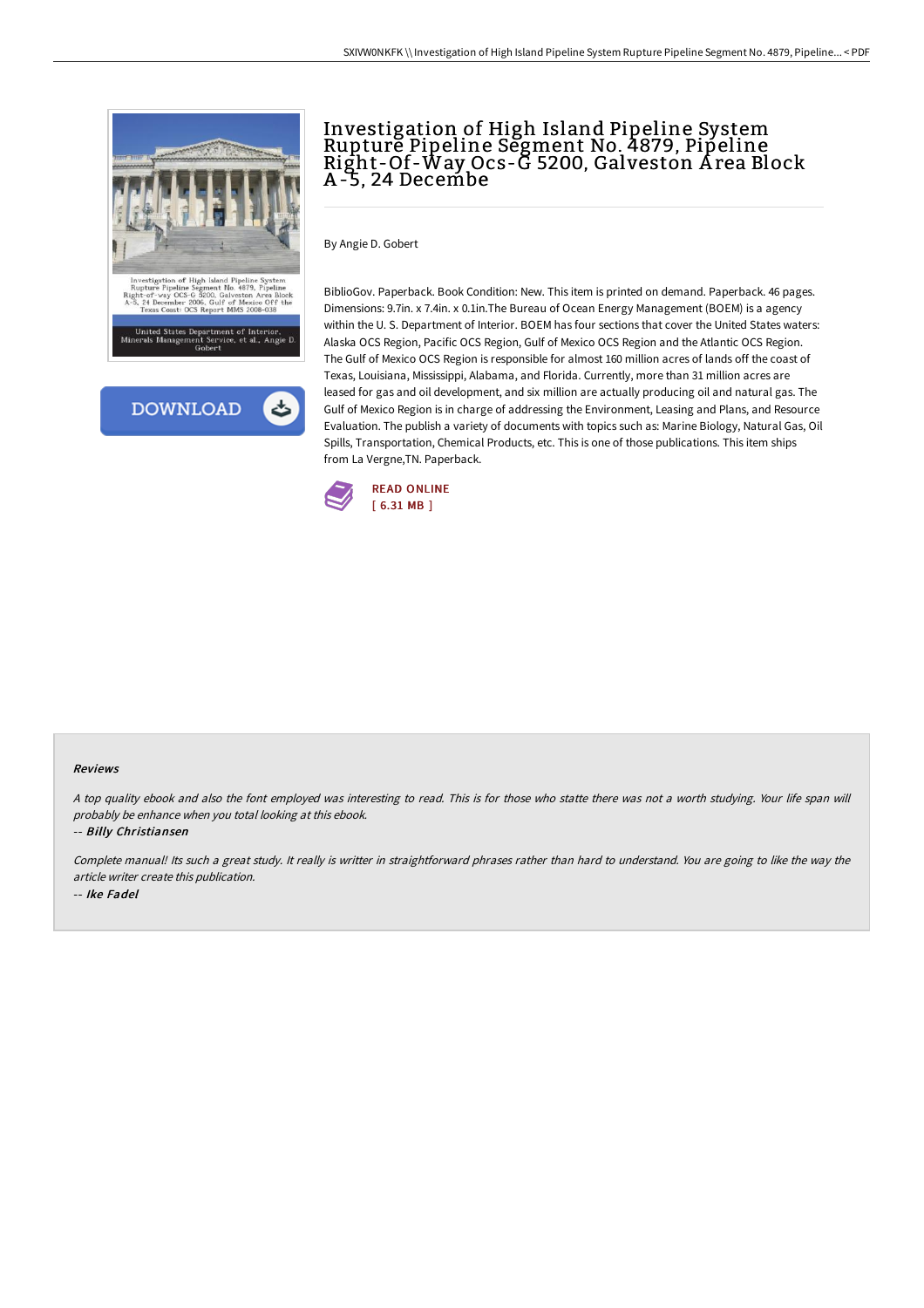

# Investigation of High Island Pipeline System Rupture Pipeline Segment No. 4879, Pipeline Right-Of-Way Ocs-G 5200, Galveston A rea Block A -5, 24 Decembe

By Angie D. Gobert

BiblioGov. Paperback. Book Condition: New. This item is printed on demand. Paperback. 46 pages. Dimensions: 9.7in. x 7.4in. x 0.1in.The Bureau of Ocean Energy Management (BOEM) is a agency within the U. S. Department of Interior. BOEM has four sections that cover the United States waters: Alaska OCS Region, Pacific OCS Region, Gulf of Mexico OCS Region and the Atlantic OCS Region. The Gulf of Mexico OCS Region is responsible for almost 160 million acres of lands off the coast of Texas, Louisiana, Mississippi, Alabama, and Florida. Currently, more than 31 million acres are leased for gas and oil development, and six million are actually producing oil and natural gas. The Gulf of Mexico Region is in charge of addressing the Environment, Leasing and Plans, and Resource Evaluation. The publish a variety of documents with topics such as: Marine Biology, Natural Gas, Oil Spills, Transportation, Chemical Products, etc. This is one of those publications. This item ships from La Vergne,TN. Paperback.



#### Reviews

<sup>A</sup> top quality ebook and also the font employed was interesting to read. This is for those who statte there was not <sup>a</sup> worth studying. Your life span will probably be enhance when you total looking at this ebook.

-- Billy Christiansen

Complete manual! Its such <sup>a</sup> great study. It really is writter in straightforward phrases rather than hard to understand. You are going to like the way the article writer create this publication. -- Ike Fadel